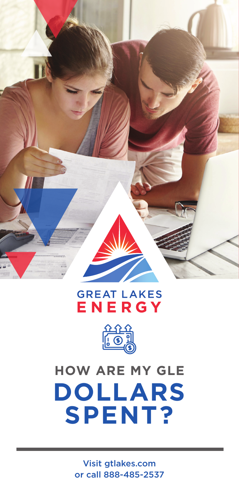

### **GREAT LAKES** ENERGY



# **DOLLARS SPENT? HOW ARE MY GLE**

Visit gtlakes.com or call 888-485-2537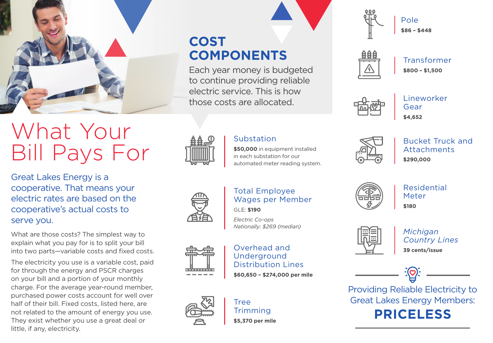

# What Your Bill Pays For

Great Lakes Energy is a cooperative. That means your electric rates are based on the cooperative's actual costs to serve you.

What are those costs? The simplest way to explain what you pay for is to split your bill into two parts—variable costs and fixed costs.

The electricity you use is a variable cost, paid for through the energy and PSCR charges on your bill and a portion of your monthly charge. For the average year-round member, purchased power costs account for well over half of their bill. Fixed costs, listed here, are not related to the amount of energy you use. They exist whether you use a great deal or little, if any, electricity.

**COST COMPONENTS**

Each year money is budgeted to continue providing reliable electric service. This is how those costs are allocated.



Pole **\$86 – \$448**



Transformer **\$800 – \$1,500**



Lineworker Gear **\$4,652**



#### Substation

**\$50,000** in equipment installed in each substation for our automated meter reading system.

Bucket Truck and Attachments **\$290,000**

Total Employee Wages per Member GLE: **\$190**

*Electric Co-ops Nationally: \$269 (median)*

#### Overhead and Underground Distribution Lines **\$60,650 – \$274,000 per mile**



Tree **Trimming** 

**\$5,370 per mile**



Residential Meter **\$180**



*Michigan Country Lines* **39 cents/issue**

Providing Reliable Electricity to Great Lakes Energy Members: